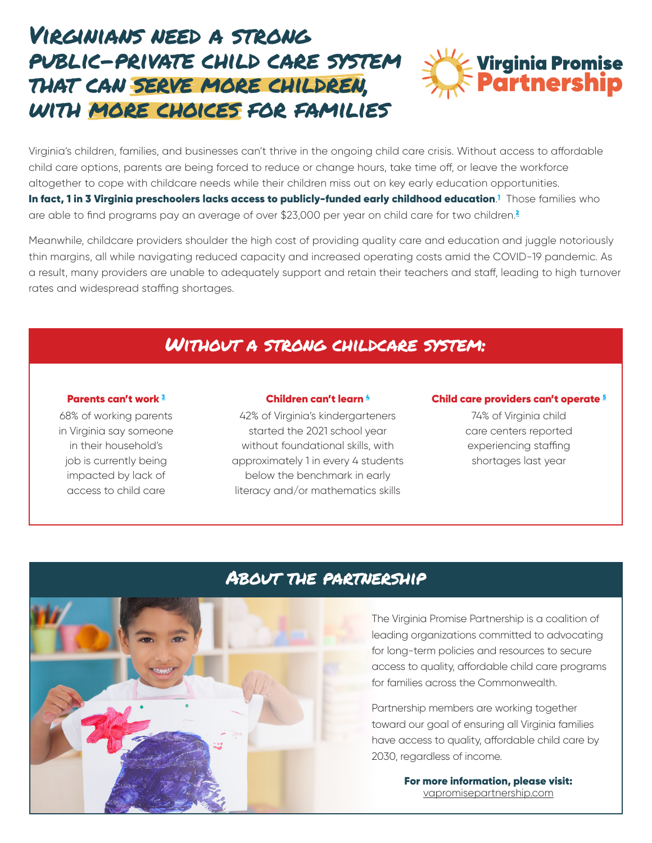# Virginians need a strong public-private child care system that can serve more children, with more choices for families



Virginia's children, families, and businesses can't thrive in the ongoing child care crisis. Without access to affordable child care options, parents are being forced to reduce or change hours, take time off, or leave the workforce altogether to cope with childcare needs while their children miss out on key early education opportunities. **In fact, [1](https://view.officeapps.live.com/op/view.aspx?src=https%3A%2F%2Fdoe.virginia.gov%2Fboe%2Fcommittees_advisory%2Fearly-childhood%2F2021%2Fecac-slides-11-10-21.pptx&wdOrigin=BROWSELINK) in 3 Virginia preschoolers lacks access to publicly-funded early childhood education.<sup>1</sup> Those families who** are able to find programs pay an average of over \$[2](https://www.childcareaware.org/wp-content/uploads/2020/09/2020StateFactSheets-UPDATE-AllStates-09242020.pdf?utm_campaign=Picking%20Up%20The%20Pieces&utm_source=52%20SFS%20%20PDF)3,000 per year on child care for two children.<sup>2</sup>

Meanwhile, childcare providers shoulder the high cost of providing quality care and education and juggle notoriously thin margins, all while navigating reduced capacity and increased operating costs amid the COVID-19 pandemic. As a result, many providers are unable to adequately support and retain their teachers and staff, leading to high turnover rates and widespread staffing shortages.

## Without a strong childcare system:

#### Parents can't work [3](https://nvlupin.blob.core.windows.net/images/van/TSM/TSMEA/1/93183/images/Press%20Releases/Press%20Release%20-%20Virginia%20Promise%20in%20Action%20Poll%20Shows%20Parents%20Unable%20to%20Work%20Due%20to%20Lack%20of%20Child%20Care.pdf?DEU=decemupda&emci=5e0bae49-e256-ec11-94f6-0050f2e65e9b&emdi=afb80d2d-8169-ec11-94f6-0003ffc5857e&ceid=6430297)

68% of working parents in Virginia say someone in their household's job is currently being impacted by lack of access to child care

#### Children can't learn [4](https://vkrponline.org/wp-content/uploads/sites/3/2022/01/6_2021_FALL_VKRPSNAPSHOT.pdf)

42% of Virginia's kindergarteners started the 2021 school year without foundational skills, with approximately 1 in every 4 students below the benchmark in early literacy and/or mathematics skills

#### Child care providers can't operate<sup>5</sup>

74% of Virginia child care centers reported experiencing staffing shortages last year



### About the partnership

The Virginia Promise Partnership is a coalition of leading organizations committed to advocating for long-term policies and resources to secure access to quality, affordable child care programs for families across the Commonwealth.

Partnership members are working together toward our goal of ensuring all Virginia families have access to quality, affordable child care by 2030, regardless of income.

> For more information, please visit: [vapromisepartnership.com](http://vapromisepartnership.com)